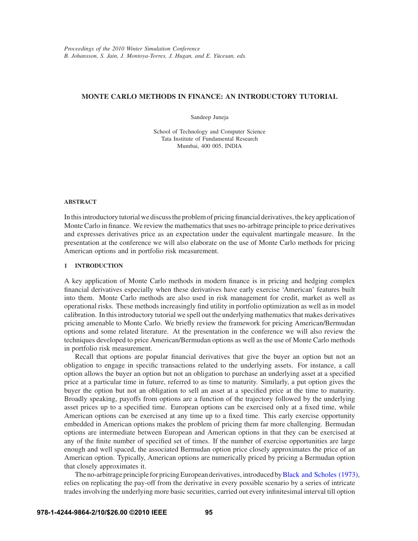# **MONTE CARLO METHODS IN FINANCE: AN INTRODUCTORY TUTORIAL**

Sandeep Juneja

School of Technology and Computer Science Tata Institute of Fundamental Research Mumbai, 400 005, INDIA

### **ABSTRACT**

In this introductory tutorial we discuss the problem of pricing financial derivatives, the key application of Monte Carlo in finance. We review the mathematics that uses no-arbitrage principle to price derivatives and expresses derivatives price as an expectation under the equivalent martingale measure. In the presentation at the conference we will also elaborate on the use of Monte Carlo methods for pricing American options and in portfolio risk measurement.

## **1 INTRODUCTION**

A key application of Monte Carlo methods in modern finance is in pricing and hedging complex financial derivatives especially when these derivatives have early exercise 'American' features built into them. Monte Carlo methods are also used in risk management for credit, market as well as operational risks. These methods increasingly find utility in portfolio optimization as well as in model calibration. In this introductory tutorial we spell out the underlying mathematics that makes derivatives pricing amenable to Monte Carlo. We briefly review the framework for pricing American/Bermudan options and some related literature. At the presentation in the conference we will also review the techniques developed to price American/Bermudan options as well as the use of Monte Carlo methods in portfolio risk measurement.

Recall that options are popular financial derivatives that give the buyer an option but not an obligation to engage in specific transactions related to the underlying assets. For instance, a call option allows the buyer an option but not an obligation to purchase an underlying asset at a specified price at a particular time in future, referred to as time to maturity. Similarly, a put option gives the buyer the option but not an obligation to sell an asset at a specified price at the time to maturity. Broadly speaking, payoffs from options are a function of the trajectory followed by the underlying asset prices up to a specified time. European options can be exercised only at a fixed time, while American options can be exercised at any time up to a fixed time. This early exercise opportunity embedded in American options makes the problem of pricing them far more challenging. Bermudan options are intermediate between European and American options in that they can be exercised at any of the finite number of specified set of times. If the number of exercise opportunities are large enough and well spaced, the associated Bermudan option price closely approximates the price of an American option. Typically, American options are numerically priced by pricing a Bermudan option that closely approximates it.

The no-arbitrage principle for pricing European derivatives, introduced byBlack and Scholes (1973), relies on replicating the pay-off from the derivative in every possible scenario by a series of intricate trades involving the underlying more basic securities, carried out every infinitesimal interval till option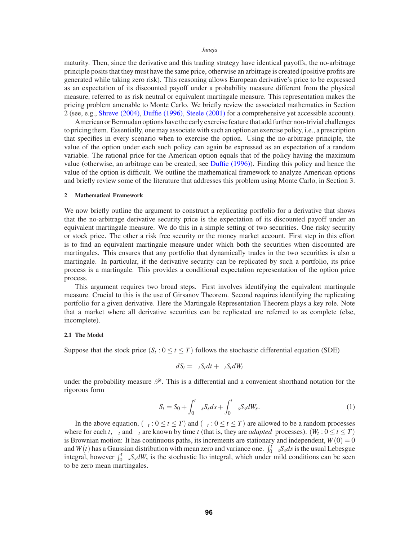maturity. Then, since the derivative and this trading strategy have identical payoffs, the no-arbitrage principle posits that they must have the same price, otherwise an arbitrage is created (positive profits are generated while taking zero risk). This reasoning allows European derivative's price to be expressed as an expectation of its discounted payoff under a probability measure different from the physical measure, referred to as risk neutral or equivalent martingale measure. This representation makes the pricing problem amenable to Monte Carlo. We briefly review the associated mathematics in Section 2 (see, e.g., Shreve (2004), Duffie (1996), Steele (2001) for a comprehensive yet accessible account).

American or Bermudan options have the early exercise feature that add further non-trivial challenges to pricing them. Essentially, one may associate with such an option an exercise policy, i.e., a prescription that specifies in every scenario when to exercise the option. Using the no-arbitrage principle, the value of the option under each such policy can again be expressed as an expectation of a random variable. The rational price for the American option equals that of the policy having the maximum value (otherwise, an arbitrage can be created, see Duffie (1996)). Finding this policy and hence the value of the option is difficult. We outline the mathematical framework to analyze American options and briefly review some of the literature that addresses this problem using Monte Carlo, in Section 3.

## **2 Mathematical Framework**

We now briefly outline the argument to construct a replicating portfolio for a derivative that shows that the no-arbitrage derivative security price is the expectation of its discounted payoff under an equivalent martingale measure. We do this in a simple setting of two securities. One risky security or stock price. The other a risk free security or the money market account. First step in this effort is to find an equivalent martingale measure under which both the securities when discounted are martingales. This ensures that any portfolio that dynamically trades in the two securities is also a martingale. In particular, if the derivative security can be replicated by such a portfolio, its price process is a martingale. This provides a conditional expectation representation of the option price process.

This argument requires two broad steps. First involves identifying the equivalent martingale measure. Crucial to this is the use of Girsanov Theorem. Second requires identifying the replicating portfolio for a given derivative. Here the Martingale Representation Theorem plays a key role. Note that a market where all derivative securities can be replicated are referred to as complete (else, incomplete).

#### **2.1 The Model**

Suppose that the stock price  $(S_t: 0 \le t \le T)$  follows the stochastic differential equation (SDE)

$$
dS_t = \mu_t S_t dt + \sigma_t S_t dW_t
$$

under the probability measure  $\mathscr{P}$ . This is a differential and a convenient shorthand notation for the rigorous form

$$
S_t = S_0 + \int_0^t \mu_s S_s ds + \int_0^t \sigma_s S_s dW_s.
$$
 (1)

In the above equation,  $(\mu_t : 0 \le t \le T)$  and  $(\sigma_t : 0 \le t \le T)$  are allowed to be a random processes where for each *t*,  $\mu_t$  and  $\sigma_t$  are known by time *t* (that is, they are *adapted* processes). ( $W_t: 0 \le t \le T$ ) is Brownian motion: It has continuous paths, its increments are stationary and independent,  $W(0) = 0$ and  $W(t)$  has a Gaussian distribution with mean zero and variance one.  $\int_0^t \mu_s S_s ds$  is the usual Lebesgue integral, however  $\int_0^t \sigma_s S_s dW_s$  is the stochastic Ito integral, which under mild conditions can be seen to be zero mean martingales.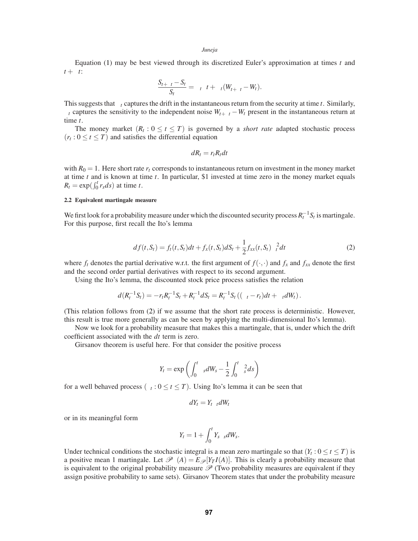Equation (1) may be best viewed through its discretized Euler's approximation at times *t* and  $t + \delta t$ :

$$
\frac{S_{t+\delta t}-S_t}{S_t}=\mu_t\delta t+\sigma_t(W_{t+\delta t}-W_t).
$$

This suggests that  $\mu_t$  captures the drift in the instantaneous return from the security at time  $t$ . Similarly,  $\sigma_t$  captures the sensitivity to the independent noise  $W_{t+\delta t} - W_t$  present in the instantaneous return at time *t*.

The money market  $(R_t: 0 \le t \le T)$  is governed by a *short rate* adapted stochastic process  $(r_t: 0 \le t \le T)$  and satisfies the differential equation

$$
dR_t = r_t R_t dt
$$

with  $R_0 = 1$ . Here short rate  $r_t$  corresponds to instantaneous return on investment in the money market at time *t* and is known at time *t*. In particular, \$1 invested at time zero in the money market equals  $R_t = \exp(\int_0^t r_s ds)$  at time *t*.

## **2.2 Equivalent martingale measure**

We first look for a probability measure under which the discounted security process  $R_t^{-1}S_t$  is martingale. For this purpose, first recall the Ito's lemma

$$
df(t, S_t) = f_t(t, S_t)dt + f_x(t, S_t)dS_t + \frac{1}{2}f_{xx}(t, S_t)\sigma_t^2 dt
$$
\n(2)

where  $f_t$  denotes the partial derivative w.r.t. the first argument of  $f(\cdot, \cdot)$  and  $f_x$  and  $f_{xx}$  denote the first and the second order partial derivatives with respect to its second argument.

Using the Ito's lemma, the discounted stock price process satisfies the relation

$$
d(R_t^{-1}S_t) = -r_tR_t^{-1}S_t + R_t^{-1}dS_t = R_t^{-1}S_t((\mu_t - r_t)dt + \sigma_t dW_t).
$$

(This relation follows from (2) if we assume that the short rate process is deterministic. However, this result is true more generally as can be seen by applying the multi-dimensional Ito's lemma).

Now we look for a probability measure that makes this a martingale, that is, under which the drift coefficient associated with the *dt* term is zero.

Girsanov theorem is useful here. For that consider the positive process

$$
Y_t = \exp\left(\int_0^t v_s dW_s - \frac{1}{2} \int_0^t v_s^2 ds\right)
$$

for a well behaved process  $(v_t : 0 \le t \le T)$ . Using Ito's lemma it can be seen that

$$
dY_t = Y_t v_t dW_t
$$

or in its meaningful form

$$
Y_t = 1 + \int_0^t Y_s v_s dW_s.
$$

Under technical conditions the stochastic integral is a mean zero martingale so that  $(Y_t: 0 \le t \le T)$  is a positive mean 1 martingale. Let  $\mathcal{P}^{\vee}(A) = E_{\mathcal{P}}[Y_T I(A)]$ . This is clearly a probability measure that is equivalent to the original probability measure  $\mathscr P$  (Two probability measures are equivalent if they assign positive probability to same sets). Girsanov Theorem states that under the probability measure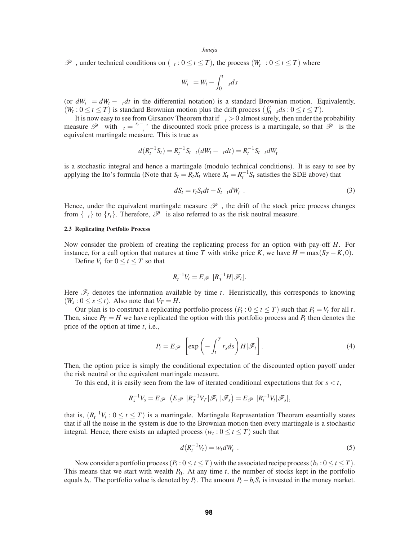$\mathcal{P}^{\nu}$ , under technical conditions on  $(v_t: 0 \le t \le T)$ , the process  $(W_t^{\nu}: 0 \le t \le T)$  where

$$
W_t^v = W_t - \int_0^t v_s ds
$$

(or  $dW_t^v = dW_t - v_t dt$  in the differential notation) is a standard Brownian motion. Equivalently,  $(W_t: 0 \le t \le T)$  is standard Brownian motion plus the drift process  $(\int_0^t v_s ds : 0 \le t \le T)$ .

It is now easy to see from Girsanov Theorem that if  $\sigma_t > 0$  almost surely, then under the probability measure  $\mathscr{P}^{\nu}$  with  $v_t = \frac{r_t - \mu_t}{\sigma_t}$  the discounted stock price process is a martingale, so that  $\mathscr{P}^{\nu}$  is the equivalent martingale measure. This is true as

$$
d(R_t^{-1}S_t) = R_t^{-1}S_t\sigma_t(dW_t - V_tdt) = R_t^{-1}S_t\sigma_t dW_t^V
$$

is a stochastic integral and hence a martingale (modulo technical conditions). It is easy to see by applying the Ito's formula (Note that  $S_t = R_t X_t$  where  $X_t = R_t^{-1} S_t$  satisfies the SDE above) that

$$
dS_t = r_t S_t dt + S_t \sigma_t dW_t^V. \tag{3}
$$

Hence, under the equivalent martingale measure  $\mathscr{P}^{\nu}$ , the drift of the stock price process changes from  $\{\mu_t\}$  to  $\{r_t\}$ . Therefore,  $\mathcal{P}^{\nu}$  is also referred to as the risk neutral measure.

#### **2.3 Replicating Portfolio Process**

Now consider the problem of creating the replicating process for an option with pay-off *H*. For instance, for a call option that matures at time *T* with strike price *K*, we have  $H = \max(S_T - K, 0)$ .

Define  $V_t$  for  $0 \le t \le T$  so that

$$
R_t^{-1}V_t = E_{\mathscr{P}^V}[R_T^{-1}H|\mathscr{F}_t].
$$

Here  $\mathcal{F}_t$  denotes the information available by time *t*. Heuristically, this corresponds to knowing  $(W_s: 0 \le s \le t)$ . Also note that  $V_T = H$ .

Our plan is to construct a replicating portfolio process  $(P_t: 0 \le t \le T)$  such that  $P_t = V_t$  for all t. Then, since  $P_T = H$  we have replicated the option with this portfolio process and  $P_t$  then denotes the price of the option at time *t*, i.e.,

$$
P_t = E_{\mathscr{P}^V} \left[ \exp \left( - \int_t^T r_s ds \right) H | \mathscr{F}_t \right]. \tag{4}
$$

Then, the option price is simply the conditional expectation of the discounted option payoff under the risk neutral or the equivalent martingale measure.

To this end, it is easily seen from the law of iterated conditional expectations that for  $s < t$ ,

$$
R_s^{-1}V_s = E_{\mathscr{P}^{\vee}}(E_{\mathscr{P}^{\vee}}[R_T^{-1}V_T|\mathscr{F}_t]|\mathscr{F}_s) = E_{\mathscr{P}^{\vee}}[R_t^{-1}V_t|\mathscr{F}_s],
$$

that is,  $(R_t^{-1}V_t: 0 \le t \le T)$  is a martingale. Martingale Representation Theorem essentially states that if all the noise in the system is due to the Brownian motion then every martingale is a stochastic integral. Hence, there exists an adapted process ( $w_t : 0 \le t \le T$ ) such that

$$
d(R_t^{-1}V_t) = w_t dW_t^V. \tag{5}
$$

Now consider a portfolio process  $(P_t: 0 \le t \le T)$  with the associated recipe process  $(b_t: 0 \le t \le T)$ . This means that we start with wealth  $P_0$ . At any time  $t$ , the number of stocks kept in the portfolio equals  $b_t$ . The portfolio value is denoted by  $P_t$ . The amount  $P_t - b_t S_t$  is invested in the money market.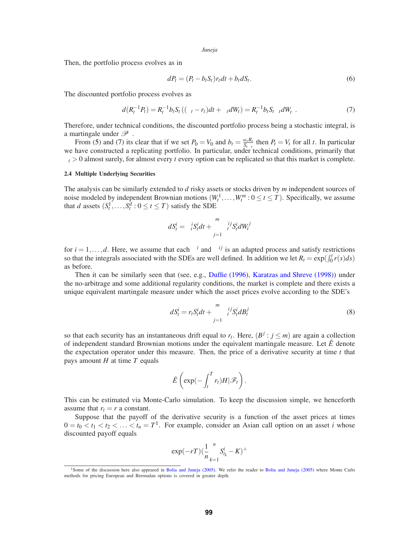Then, the portfolio process evolves as in

$$
dP_t = (P_t - b_t S_t) r_t dt + b_t dS_t.
$$
\n<sup>(6)</sup>

The discounted portfolio process evolves as

$$
d(R_t^{-1}P_t) = R_t^{-1}b_tS_t((\mu_t - r_t)dt + \sigma_t dW_t) = R_t^{-1}b_tS_t\sigma_t dW_t^{\nu}.
$$
\n(7)

Therefore, under technical conditions, the discounted portfolio process being a stochastic integral, is a martingale under  $\mathscr{P}^{\nu}$ .

From (5) and (7) its clear that if we set  $P_0 = V_0$  and  $b_t = \frac{w_t R_t}{S_t \sigma_t}$  then  $P_t = V_t$  for all *t*. In particular we have constructed a replicating portfolio. In particular, under technical conditions, primarily that  $\sigma_t > 0$  almost surely, for almost every *t* every option can be replicated so that this market is complete.

## **2.4 Multiple Underlying Securities**

The analysis can be similarly extended to *d* risky assets or stocks driven by *m* independent sources of noise modeled by independent Brownian motions  $(W_t^1, \ldots, W_t^m : 0 \le t \le T)$ . Specifically, we assume that *d* assets  $(S_t^1, \ldots, S_t^d : 0 \le t \le T)$  satisfy the SDE

$$
dS_t^i = \mu_t^i S_t^i dt + \sum_{j=1}^m \sigma_t^{ij} S_t^i dW_t^j
$$

for  $i = 1, \ldots, d$ . Here, we assume that each  $\mu^{i}$  and  $\sigma^{ij}$  is an adapted process and satisfy restrictions so that the integrals associated with the SDEs are well defined. In addition we let  $R_t = \exp(\int_0^t r(s) ds)$ as before.

Then it can be similarly seen that (see, e.g., Duffie (1996), Karatzas and Shreve (1998)) under the no-arbitrage and some additional regularity conditions, the market is complete and there exists a unique equivalent martingale measure under which the asset prices evolve according to the SDE's

$$
dS_t^i = r_t S_t^i dt + \sum_{j=1}^m \sigma_t^{ij} S_t^i dB_t^j
$$
\n(8)

so that each security has an instantaneous drift equal to  $r_t$ . Here,  $(B^j : j \le m)$  are again a collection of independent standard Brownian motions under the equivalent martingale measure. Let  $\tilde{E}$  denote the expectation operator under this measure. Then, the price of a derivative security at time  $t$  that pays amount *H* at time *T* equals

$$
\tilde{E}\left(\exp(-\int_t^T r_t)H|\mathscr{F}_t\right).
$$

This can be estimated via Monte-Carlo simulation. To keep the discussion simple, we henceforth assume that  $r_t = r$  a constant.

Suppose that the payoff of the derivative security is a function of the asset prices at times  $0 = t_0 < t_1 < t_2 < \ldots < t_n = T^1$ . For example, consider an Asian call option on an asset *i* whose discounted payoff equals

$$
\exp(-rT)(\frac{1}{n}\sum_{k=1}^{n}S_{t_k}^i - K)^+
$$

<sup>&</sup>lt;sup>1</sup>Some of the discussion here also appeared in Bolia and Juneja (2005). We refer the reader to Bolia and Juneja (2005) where Monte Carlo methods for pricing European and Bermudan options is covered in greater depth.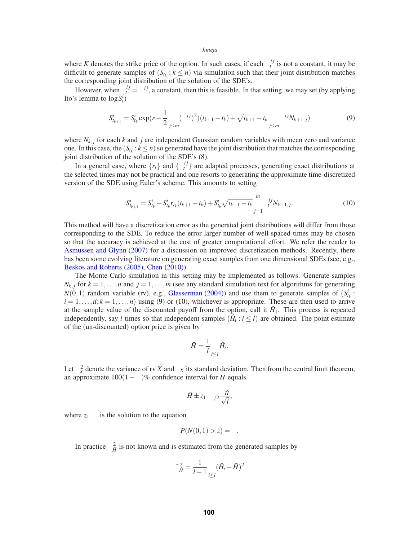where *K* denotes the strike price of the option. In such cases, if each  $\sigma_t^{ij}$  is not a constant, it may be difficult to generate samples of  $(S_{t_k} : k \leq n)$  via simulation such that their joint distribution matches the corresponding joint distribution of the solution of the SDE's.

However, when  $\sigma_t^{ij} = \sigma^{ij}$ , a constant, then this is feasible. In that setting, we may set (by applying Ito's lemma to  $\log S_t^i$ 

$$
S_{t_{k+1}}^i = S_{t_k}^i \exp(r - \frac{1}{2} \sum_{j \le m} (\sigma^{ij})^2) (t_{k+1} - t_k) + \sqrt{t_{k+1} - t_k} \sum_{j \le m} \sigma^{ij} N_{k+1,j})
$$
(9)

where  $N_{k,j}$  for each  $k$  and  $j$  are independent Gaussian random variables with mean zero and variance one. In this case, the  $(S_{t_k}: k \leq n)$  so generated have the joint distribution that matches the corresponding joint distribution of the solution of the SDE's (8).

In a general case, where  $\{r_t\}$  and  $\{\sigma_t^{ij}\}$  are adapted processes, generating exact distributions at the selected times may not be practical and one resorts to generating the approximate time-discretized version of the SDE using Euler's scheme. This amounts to setting

$$
S_{t_{k+1}}^i = S_{t_k}^i + S_{t_k}^i r_{t_k} (t_{k+1} - t_k) + S_{t_k}^i \sqrt{t_{k+1} - t_k} \sum_{j=1}^m \sigma_t^{ij} N_{k+1,j}.
$$
 (10)

This method will have a discretization error as the generated joint distributions will differ from those corresponding to the SDE. To reduce the error larger number of well spaced times may be chosen so that the accuracy is achieved at the cost of greater computational effort. We refer the reader to Asmussen and Glynn (2007) for a discussion on improved discretization methods. Recently, there has been some evolving literature on generating exact samples from one dimensional SDEs (see, e.g., Beskos and Roberts (2005), Chen (2010)).

The Monte-Carlo simulation in this setting may be implemented as follows: Generate samples  $N_{k,j}$  for  $k = 1, \ldots, n$  and  $j = 1, \ldots, m$  (see any standard simulation text for algorithms for generating  $N(0,1)$  random variable (rv), e.g., Glasserman (2004)) and use them to generate samples of  $(S^i_k)$ :  $i = 1, \ldots, d; k = 1, \ldots, n$  using (9) or (10), whichever is appropriate. These are then used to arrive at the sample value of the discounted payoff from the option, call it  $\hat{H}_1$ . This process is repeated independently, say *l* times so that independent samples  $(\hat{H}_i : i \leq l)$  are obtained. The point estimate of the (un-discounted) option price is given by

$$
\bar{H} = \frac{1}{l} \sum_{i \leq l} \hat{H}_i.
$$

Let  $\sigma_X^2$  denote the variance of rv *X* and  $\sigma_X$  its standard deviation. Then from the central limit theorem, an approximate  $100(1-\alpha)\%$  confidence interval for *H* equals

$$
\bar{H} \pm z_{1-\alpha/2} \frac{\sigma_{\hat{H}}}{\sqrt{l}},
$$

where  $z_{1-\alpha}$  is the solution to the equation

$$
P(N(0,1) > z) = \alpha.
$$

In practice  $\sigma_{\hat{H}}^2$  is not known and is estimated from the generated samples by

$$
\bar{\sigma}_{\hat{H}}^2 = \frac{1}{l-1} \sum_{i \leq l} (\hat{H}_i - \bar{H})^2
$$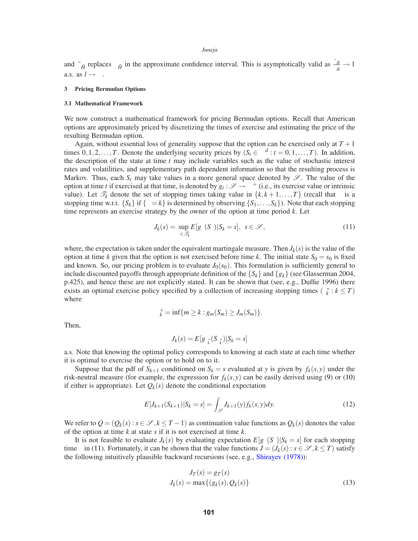and  $\bar{\sigma}_{\hat{H}}$  replaces  $\sigma_{\hat{H}}$  in the approximate confidence interval. This is asymptotically valid as  $\frac{\bar{\sigma}_{\hat{H}}}{\sigma_{H}} \to 1$ a.s. as  $l \rightarrow \infty$ .

## **3 Pricing Bermudan Options**

### **3.1 Mathematical Framework**

We now construct a mathematical framework for pricing Bermudan options. Recall that American options are approximately priced by discretizing the times of exercise and estimating the price of the resulting Bermudan option.

Again, without essential loss of generality suppose that the option can be exercised only at  $T+1$ times  $0,1,2,...,T$ . Denote the underlying security prices by  $(S_t \in \mathbb{R}^d : t = 0,1,...,T)$ . In addition, the description of the state at time *t* may include variables such as the value of stochastic interest rates and volatilities, and supplementary path dependent information so that the resulting process is Markov. Thus, each  $S_t$  may take values in a more general space denoted by  $\mathscr{S}$ . The value of the option at time *t* if exercised at that time, is denoted by  $g_t : \mathscr{S} \to \mathbb{R}^+$  (i.e., its exercise value or intrinsic value). Let  $\mathcal{T}_k$  denote the set of stopping times taking value in  $\{k, k+1, ..., T\}$  (recall that  $\tau$  is a stopping time w.r.t.  $\{S_k\}$  if  $\{\tau = k\}$  is determined by observing  $\{S_1, \ldots, S_k\}$ ). Note that each stopping time represents an exercise strategy by the owner of the option at time period *k*. Let

$$
J_k(s) = \sup_{\tau \in \mathcal{I}_k} E[g_\tau(S_\tau) | S_k = s], \ s \in \mathcal{S}, \tag{11}
$$

where, the expectation is taken under the equivalent martingale measure. Then  $J_k(s)$  is the value of the option at time *k* given that the option is not exercised before time *k*. The initial state  $S_0 = s_0$  is fixed and known. So, our pricing problem is to evaluate  $J_0(s_0)$ . This formulation is sufficiently general to include discounted payoffs through appropriate definition of the  $\{S_k\}$  and  $\{g_k\}$  (see Glasserman 2004, p.425), and hence these are not explicitly stated. It can be shown that (see, e.g., Duffie 1996) there exists an optimal exercise policy specified by a collection of increasing stopping times ( $\tau_k^* : k \leq T$ ) where

$$
\tau_k^* = \inf\{m \geq k : g_m(S_m) \geq J_m(S_m)\}.
$$

Then,

$$
J_k(s) = E[g_{\tau_k^*}(S_{\tau_k^*})|S_k = s]
$$

a.s. Note that knowing the optimal policy corresponds to knowing at each state at each time whether it is optimal to exercise the option or to hold on to it.

Suppose that the pdf of  $S_{k+1}$  conditioned on  $S_k = s$  evaluated at *y* is given by  $f_k(s, y)$  under the risk-neutral measure (for example, the expression for  $f_k(s, y)$  can be easily derived using (9) or (10) if either is appropriate). Let  $Q_k(s)$  denote the conditional expectation

$$
E[J_{k+1}(S_{k+1})|S_k = s] = \int_{\mathscr{S}} J_{k+1}(y) f_k(s, y) dy.
$$
 (12)

We refer to  $Q = (Q_k(s) : s \in \mathcal{S}, k \leq T-1)$  as continuation value functions as  $Q_k(s)$  denotes the value of the option at time *k* at state *s* if it is not exercised at time *k*.

It is not feasible to evaluate  $J_k(s)$  by evaluating expectation  $E[g_\tau(S_\tau)|S_k = s]$  for each stopping time  $\tau$  in (11). Fortunately, it can be shown that the value functions  $J = (J_k(s) : s \in \mathcal{S}, k \leq T)$  satisfy the following intuitively plausible backward recursions (see, e.g., Shirayev (1978)):

$$
J_T(s) = g_T(s)
$$
  

$$
J_k(s) = \max\{(g_k(s), Q_k(s)\}\tag{13}
$$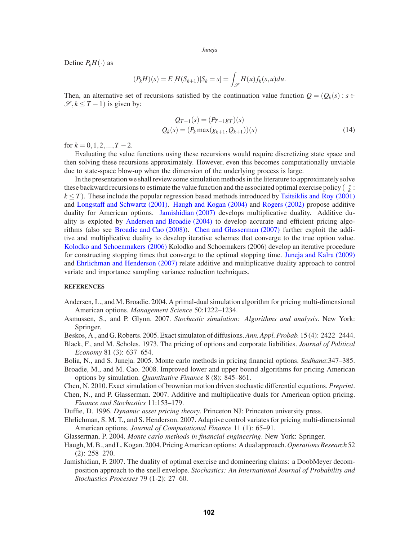Define  $P_kH(\cdot)$  as

$$
(P_k H)(s) \stackrel{\Delta}{=} E[H(S_{k+1})|S_k = s] = \int_{\mathscr{S}} H(u) f_k(s, u) du.
$$

Then, an alternative set of recursions satisfied by the continuation value function  $Q = (Q_k(s) : s \in \mathbb{R})$  $\mathscr{S}, k \leq T - 1$ ) is given by:

$$
Q_{T-1}(s) = (P_{T-1}gr)(s)
$$
  
 
$$
Q_k(s) = (P_k \max(g_{k+1}, Q_{k+1}))(s)
$$
 (14)

for  $k = 0, 1, 2, ..., T - 2$ .

Evaluating the value functions using these recursions would require discretizing state space and then solving these recursions approximately. However, even this becomes computationally unviable due to state-space blow-up when the dimension of the underlying process is large.

In the presentation we shall review some simulation methods in the literature to approximately solve these backward recursions to estimate the value function and the associated optimal exercise policy ( $\tau_k^*$ :  $k \leq T$ ). These include the popular regression based methods introduced by Tsitsiklis and Roy (2001) and Longstaff and Schwartz (2001). Haugh and Kogan (2004) and Rogers (2002) propose additive duality for American options. Jamishidian (2007) develops multiplicative duality. Additive duality is exploted by Andersen and Broadie (2004) to develop accurate and efficient pricing algorithms (also see Broadie and Cao (2008)). Chen and Glasserman (2007) further exploit the additive and multiplicative duality to develop iterative schemes that converge to the true option value. Kolodko and Schoenmakers (2006) Kolodko and Schoemakers (2006) develop an iterative procedure for constructing stopping times that converge to the optimal stopping time. Juneja and Kalra (2009) and Ehrlichman and Henderson (2007) relate additive and multiplicative duality approach to control variate and importance sampling variance reduction techniques.

## **REFERENCES**

- Andersen, L., and M. Broadie. 2004. A primal-dual simulation algorithm for pricing multi-dimensional American options. *Management Science* 50:1222–1234.
- Asmussen, S., and P. Glynn. 2007. *Stochastic simulation: Algorithms and analysis*. New York: Springer.
- Beskos, A., and G. Roberts. 2005. Exact simulaton of diffusions.*Ann. Appl. Probab.* 15 (4): 2422–2444.
- Black, F., and M. Scholes. 1973. The pricing of options and corporate liabilities. *Journal of Political Economy* 81 (3): 637–654.
- Bolia, N., and S. Juneja. 2005. Monte carlo methods in pricing financial options. *Sadhana*:347–385.
- Broadie, M., and M. Cao. 2008. Improved lower and upper bound algorithms for pricing American options by simulation. *Quantitative Finance* 8 (8): 845–861.
- Chen, N. 2010. Exact simulation of brownian motion driven stochastic differential equations. *Preprint*.
- Chen, N., and P. Glasserman. 2007. Additive and multiplicative duals for American option pricing. *Finance and Stochastics* 11:153–179.

Duffie, D. 1996. *Dynamic asset pricing theory*. Princeton NJ: Princeton university press.

- Ehrlichman, S. M. T., and S. Henderson. 2007. Adaptive control variates for pricing multi-dimensional American options. *Journal of Computational Finance* 11 (1): 65–91.
- Glasserman, P. 2004. *Monte carlo methods in financial engineering*. New York: Springer.
- Haugh, M. B., and L. Kogan. 2004. Pricing American options: A dual approach.*Operations Research* 52 (2): 258–270.
- Jamishidian, F. 2007. The duality of optimal exercise and domineering claims: a DoobMeyer decomposition approach to the snell envelope. *Stochastics: An International Journal of Probability and Stochastics Processes* 79 (1-2): 27–60.